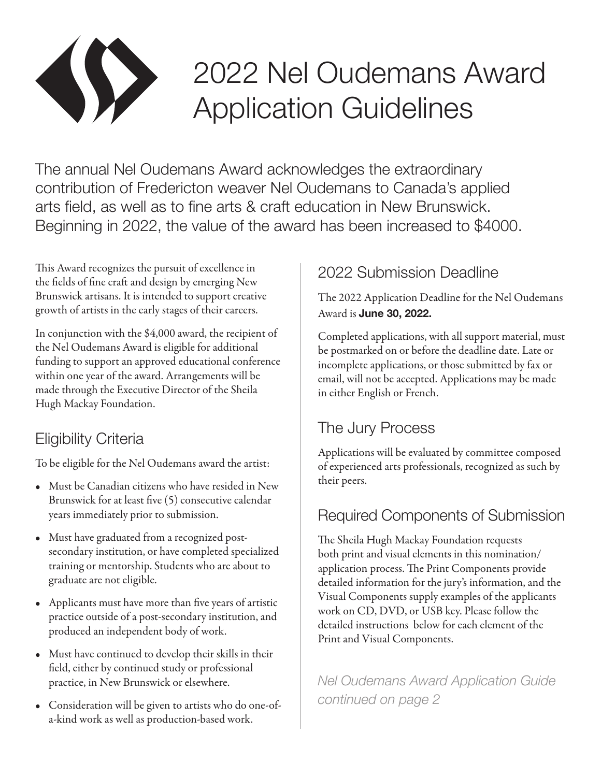

# 2022 Nel Oudemans Award Application Guidelines

The annual Nel Oudemans Award acknowledges the extraordinary contribution of Fredericton weaver Nel Oudemans to Canada's applied arts field, as well as to fine arts & craft education in New Brunswick. Beginning in 2022, the value of the award has been increased to \$4000.

This Award recognizes the pursuit of excellence in the fields of fine craft and design by emerging New Brunswick artisans. It is intended to support creative growth of artists in the early stages of their careers.

In conjunction with the \$4,000 award, the recipient of the Nel Oudemans Award is eligible for additional funding to support an approved educational conference within one year of the award. Arrangements will be made through the Executive Director of the Sheila Hugh Mackay Foundation.

# Eligibility Criteria

To be eligible for the Nel Oudemans award the artist:

- Must be Canadian citizens who have resided in New Brunswick for at least five (5) consecutive calendar years immediately prior to submission.
- Must have graduated from a recognized postsecondary institution, or have completed specialized training or mentorship. Students who are about to graduate are not eligible.
- Applicants must have more than five years of artistic practice outside of a post-secondary institution, and produced an independent body of work.
- Must have continued to develop their skills in their field, either by continued study or professional practice, in New Brunswick or elsewhere.
- Consideration will be given to artists who do one-ofa-kind work as well as production-based work.

# 2022 Submission Deadline

The 2022 Application Deadline for the Nel Oudemans Award is **June 30, 2022.**

Completed applications, with all support material, must be postmarked on or before the deadline date. Late or incomplete applications, or those submitted by fax or email, will not be accepted. Applications may be made in either English or French.

# The Jury Process

Applications will be evaluated by committee composed of experienced arts professionals, recognized as such by their peers.

#### Required Components of Submission

The Sheila Hugh Mackay Foundation requests both print and visual elements in this nomination/ application process. The Print Components provide detailed information for the jury's information, and the Visual Components supply examples of the applicants work on CD, DVD, or USB key. Please follow the detailed instructions below for each element of the Print and Visual Components.

*Nel Oudemans Award Application Guide continued on page 2*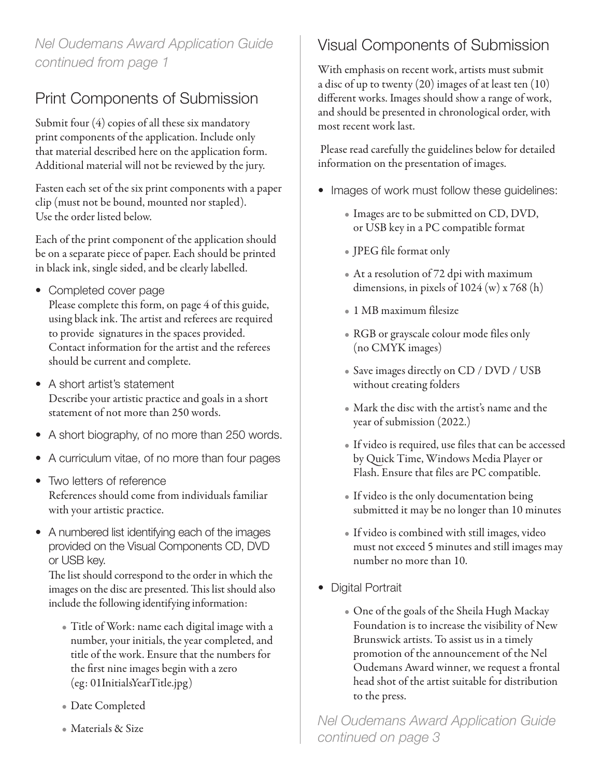#### *Nel Oudemans Award Application Guide continued from page 1*

# Print Components of Submission

Submit four (4) copies of all these six mandatory print components of the application. Include only that material described here on the application form. Additional material will not be reviewed by the jury.

Fasten each set of the six print components with a paper clip (must not be bound, mounted nor stapled). Use the order listed below.

Each of the print component of the application should be on a separate piece of paper. Each should be printed in black ink, single sided, and be clearly labelled.

- Completed cover page Please complete this form, on page 4 of this guide, using black ink. The artist and referees are required to provide signatures in the spaces provided. Contact information for the artist and the referees should be current and complete.
- A short artist's statement Describe your artistic practice and goals in a short statement of not more than 250 words.
- A short biography, of no more than 250 words.
- A curriculum vitae, of no more than four pages
- Two letters of reference References should come from individuals familiar with your artistic practice.
- A numbered list identifying each of the images provided on the Visual Components CD, DVD or USB key.

The list should correspond to the order in which the images on the disc are presented. This list should also include the following identifying information:

- Title of Work: name each digital image with a number, your initials, the year completed, and title of the work. Ensure that the numbers for the first nine images begin with a zero (eg: 01InitialsYearTitle.jpg)
- Date Completed
- Materials & Size

# Visual Components of Submission

With emphasis on recent work, artists must submit a disc of up to twenty (20) images of at least ten (10) different works. Images should show a range of work, and should be presented in chronological order, with most recent work last.

 Please read carefully the guidelines below for detailed information on the presentation of images.

- Images of work must follow these guidelines:
	- Images are to be submitted on CD, DVD, or USB key in a PC compatible format
	- JPEG file format only
	- At a resolution of 72 dpi with maximum dimensions, in pixels of  $1024 \text{ (w)} \times 768 \text{ (h)}$
	- 1 MB maximum filesize
	- RGB or grayscale colour mode files only (no CMYK images)
	- Save images directly on CD / DVD / USB without creating folders
	- Mark the disc with the artist's name and the year of submission (2022.)
	- If video is required, use files that can be accessed by Quick Time, Windows Media Player or Flash. Ensure that files are PC compatible.
	- If video is the only documentation being submitted it may be no longer than 10 minutes
	- If video is combined with still images, video must not exceed 5 minutes and still images may number no more than 10.
- Digital Portrait
	- One of the goals of the Sheila Hugh Mackay Foundation is to increase the visibility of New Brunswick artists. To assist us in a timely promotion of the announcement of the Nel Oudemans Award winner, we request a frontal head shot of the artist suitable for distribution to the press.

*Nel Oudemans Award Application Guide continued on page 3*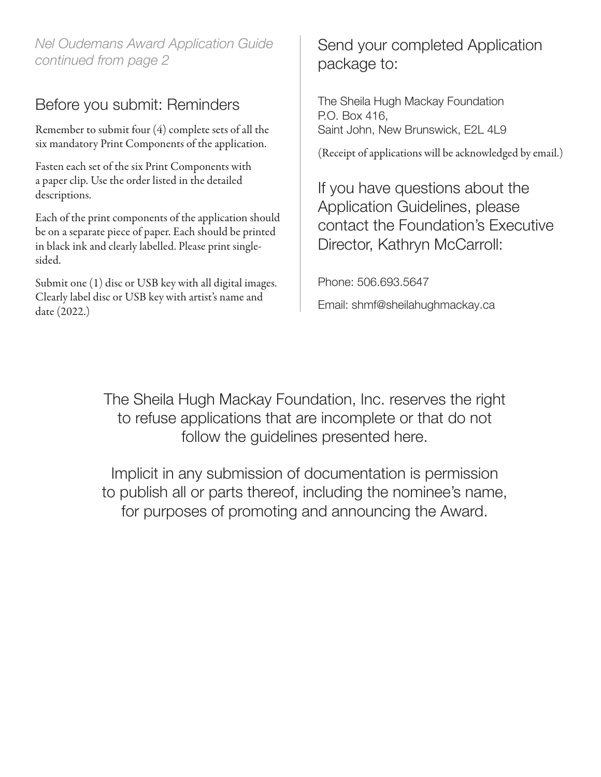*Nel Oudemans Award Application Guide continued from page 2*

#### Before you submit: Reminders

Remember to submit four (4) complete sets of all the six mandatory Print Components of the application.

Fasten each set of the six Print Components with a paper clip. Use the order listed in the detailed descriptions.

Each of the print components of the application should be on a separate piece of paper. Each should be printed in black ink and clearly labelled. Please print singlesided.

Submit one (1) disc or USB key with all digital images. Clearly label disc or USB key with artist's name and date (2022.)

#### Send your completed Application package to:

The Sheila Hugh Mackay Foundation P.O. Box 416, Saint John, New Brunswick, E2L 4L9

(Receipt of applications will be acknowledged by email.)

If you have questions about the Application Guidelines, please contact the Foundation's Executive Director, Kathryn McCarroll:

Phone: 506.693.5647

Email: shmf@sheilahughmackay.ca

The Sheila Hugh Mackay Foundation, Inc. reserves the right to refuse applications that are incomplete or that do not follow the guidelines presented here.

Implicit in any submission of documentation is permission to publish all or parts thereof, including the nominee's name, for purposes of promoting and announcing the Award.